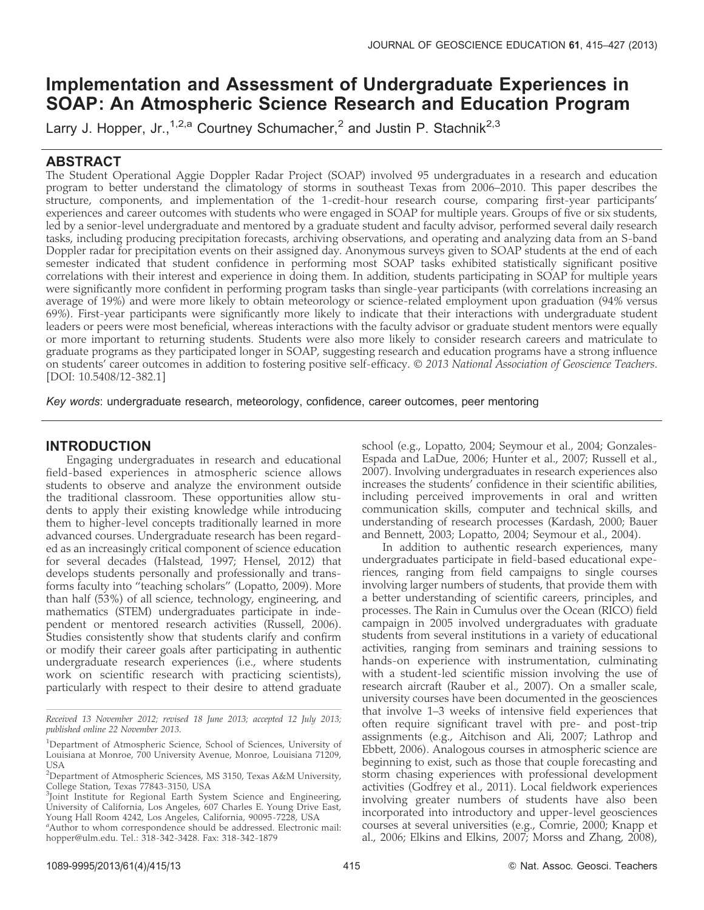# Implementation and Assessment of Undergraduate Experiences in SOAP: An Atmospheric Science Research and Education Program

Larry J. Hopper, Jr.,<sup>1,2,a</sup> Courtney Schumacher,<sup>2</sup> and Justin P. Stachnik<sup>2,3</sup>

# ABSTRACT

The Student Operational Aggie Doppler Radar Project (SOAP) involved 95 undergraduates in a research and education program to better understand the climatology of storms in southeast Texas from 2006–2010. This paper describes the structure, components, and implementation of the 1-credit-hour research course, comparing first-year participants' experiences and career outcomes with students who were engaged in SOAP for multiple years. Groups of five or six students, led by a senior-level undergraduate and mentored by a graduate student and faculty advisor, performed several daily research tasks, including producing precipitation forecasts, archiving observations, and operating and analyzing data from an S-band Doppler radar for precipitation events on their assigned day. Anonymous surveys given to SOAP students at the end of each semester indicated that student confidence in performing most SOAP tasks exhibited statistically significant positive correlations with their interest and experience in doing them. In addition, students participating in SOAP for multiple years were significantly more confident in performing program tasks than single-year participants (with correlations increasing an average of 19%) and were more likely to obtain meteorology or science-related employment upon graduation (94% versus 69%). First-year participants were significantly more likely to indicate that their interactions with undergraduate student leaders or peers were most beneficial, whereas interactions with the faculty advisor or graduate student mentors were equally or more important to returning students. Students were also more likely to consider research careers and matriculate to graduate programs as they participated longer in SOAP, suggesting research and education programs have a strong influence on students' career outcomes in addition to fostering positive self-efficacy. © 2013 National Association of Geoscience Teachers. [DOI: 10.5408/12-382.1]

Key words: undergraduate research, meteorology, confidence, career outcomes, peer mentoring

# INTRODUCTION

Engaging undergraduates in research and educational field-based experiences in atmospheric science allows students to observe and analyze the environment outside the traditional classroom. These opportunities allow students to apply their existing knowledge while introducing them to higher-level concepts traditionally learned in more advanced courses. Undergraduate research has been regarded as an increasingly critical component of science education for several decades (Halstead, 1997; Hensel, 2012) that develops students personally and professionally and transforms faculty into ''teaching scholars'' (Lopatto, 2009). More than half (53%) of all science, technology, engineering, and mathematics (STEM) undergraduates participate in independent or mentored research activities (Russell, 2006). Studies consistently show that students clarify and confirm or modify their career goals after participating in authentic undergraduate research experiences (i.e., where students work on scientific research with practicing scientists), particularly with respect to their desire to attend graduate

Received 13 November 2012; revised 18 June 2013; accepted 12 July 2013; published online 22 November 2013.

school (e.g., Lopatto, 2004; Seymour et al., 2004; Gonzales-Espada and LaDue, 2006; Hunter et al., 2007; Russell et al., 2007). Involving undergraduates in research experiences also increases the students' confidence in their scientific abilities, including perceived improvements in oral and written communication skills, computer and technical skills, and understanding of research processes (Kardash, 2000; Bauer and Bennett, 2003; Lopatto, 2004; Seymour et al., 2004).

In addition to authentic research experiences, many undergraduates participate in field-based educational experiences, ranging from field campaigns to single courses involving larger numbers of students, that provide them with a better understanding of scientific careers, principles, and processes. The Rain in Cumulus over the Ocean (RICO) field campaign in 2005 involved undergraduates with graduate students from several institutions in a variety of educational activities, ranging from seminars and training sessions to hands-on experience with instrumentation, culminating with a student-led scientific mission involving the use of research aircraft (Rauber et al., 2007). On a smaller scale, university courses have been documented in the geosciences that involve 1–3 weeks of intensive field experiences that often require significant travel with pre- and post-trip assignments (e.g., Aitchison and Ali, 2007; Lathrop and Ebbett, 2006). Analogous courses in atmospheric science are beginning to exist, such as those that couple forecasting and storm chasing experiences with professional development activities (Godfrey et al., 2011). Local fieldwork experiences involving greater numbers of students have also been incorporated into introductory and upper-level geosciences courses at several universities (e.g., Comrie, 2000; Knapp et al., 2006; Elkins and Elkins, 2007; Morss and Zhang, 2008),

<sup>&</sup>lt;sup>1</sup>Department of Atmospheric Science, School of Sciences, University of Louisiana at Monroe, 700 University Avenue, Monroe, Louisiana 71209, USA

<sup>&</sup>lt;sup>2</sup>Department of Atmospheric Sciences, MS 3150, Texas A&M University, College Station, Texas 77843-3150, USA

<sup>&</sup>lt;sup>3</sup>Joint Institute for Regional Earth System Science and Engineering, University of California, Los Angeles, 607 Charles E. Young Drive East, Young Hall Room 4242, Los Angeles, California, 90095-7228, USA

<sup>&</sup>lt;sup>a</sup>Author to whom correspondence should be addressed. Electronic mail: hopper@ulm.edu. Tel.: 318-342-3428. Fax: 318-342-1879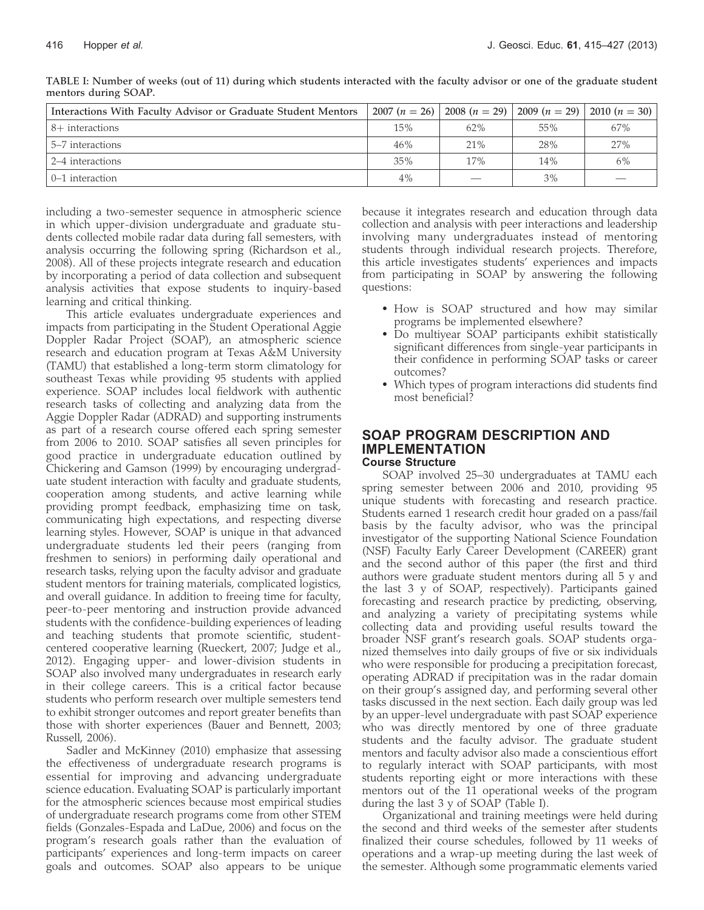| Interactions With Faculty Advisor or Graduate Student Mentors | $2007(n = 26)$ |                          | $\mid$ 2008 (n = 29) $\mid$ 2009 (n = 29) $\mid$ | 2010 $(n = 30)$ |
|---------------------------------------------------------------|----------------|--------------------------|--------------------------------------------------|-----------------|
| 8+ interactions                                               | 15%            | 62%                      | 55%                                              | 67%             |
| 5–7 interactions                                              | 46%            | 21%                      | 28%                                              | 27%             |
| 2–4 interactions                                              | 35%            | 17%                      | 14%                                              | 6%              |
| 0–1 interaction                                               | 4%             | $\overline{\phantom{a}}$ | 3%                                               | _               |

TABLE I: Number of weeks (out of 11) during which students interacted with the faculty advisor or one of the graduate student mentors during SOAP.

including a two-semester sequence in atmospheric science in which upper-division undergraduate and graduate students collected mobile radar data during fall semesters, with analysis occurring the following spring (Richardson et al., 2008). All of these projects integrate research and education by incorporating a period of data collection and subsequent analysis activities that expose students to inquiry-based learning and critical thinking.

This article evaluates undergraduate experiences and impacts from participating in the Student Operational Aggie Doppler Radar Project (SOAP), an atmospheric science research and education program at Texas A&M University (TAMU) that established a long-term storm climatology for southeast Texas while providing 95 students with applied experience. SOAP includes local fieldwork with authentic research tasks of collecting and analyzing data from the Aggie Doppler Radar (ADRAD) and supporting instruments as part of a research course offered each spring semester from 2006 to 2010. SOAP satisfies all seven principles for good practice in undergraduate education outlined by Chickering and Gamson (1999) by encouraging undergraduate student interaction with faculty and graduate students, cooperation among students, and active learning while providing prompt feedback, emphasizing time on task, communicating high expectations, and respecting diverse learning styles. However, SOAP is unique in that advanced undergraduate students led their peers (ranging from freshmen to seniors) in performing daily operational and research tasks, relying upon the faculty advisor and graduate student mentors for training materials, complicated logistics, and overall guidance. In addition to freeing time for faculty, peer-to-peer mentoring and instruction provide advanced students with the confidence-building experiences of leading and teaching students that promote scientific, studentcentered cooperative learning (Rueckert, 2007; Judge et al., 2012). Engaging upper- and lower-division students in SOAP also involved many undergraduates in research early in their college careers. This is a critical factor because students who perform research over multiple semesters tend to exhibit stronger outcomes and report greater benefits than those with shorter experiences (Bauer and Bennett, 2003; Russell, 2006).

Sadler and McKinney (2010) emphasize that assessing the effectiveness of undergraduate research programs is essential for improving and advancing undergraduate science education. Evaluating SOAP is particularly important for the atmospheric sciences because most empirical studies of undergraduate research programs come from other STEM fields (Gonzales-Espada and LaDue, 2006) and focus on the program's research goals rather than the evaluation of participants' experiences and long-term impacts on career goals and outcomes. SOAP also appears to be unique

because it integrates research and education through data collection and analysis with peer interactions and leadership involving many undergraduates instead of mentoring students through individual research projects. Therefore, this article investigates students' experiences and impacts from participating in SOAP by answering the following questions:

- How is SOAP structured and how may similar programs be implemented elsewhere?
- Do multiyear SOAP participants exhibit statistically significant differences from single-year participants in their confidence in performing SOAP tasks or career outcomes?
- Which types of program interactions did students find most beneficial?

#### SOAP PROGRAM DESCRIPTION AND IMPLEMENTATION Course Structure

SOAP involved 25–30 undergraduates at TAMU each spring semester between 2006 and 2010, providing 95 unique students with forecasting and research practice. Students earned 1 research credit hour graded on a pass/fail basis by the faculty advisor, who was the principal investigator of the supporting National Science Foundation (NSF) Faculty Early Career Development (CAREER) grant and the second author of this paper (the first and third authors were graduate student mentors during all 5 y and the last 3 y of SOAP, respectively). Participants gained forecasting and research practice by predicting, observing, and analyzing a variety of precipitating systems while collecting data and providing useful results toward the broader NSF grant's research goals. SOAP students organized themselves into daily groups of five or six individuals who were responsible for producing a precipitation forecast, operating ADRAD if precipitation was in the radar domain on their group's assigned day, and performing several other tasks discussed in the next section. Each daily group was led by an upper-level undergraduate with past SOAP experience who was directly mentored by one of three graduate students and the faculty advisor. The graduate student mentors and faculty advisor also made a conscientious effort to regularly interact with SOAP participants, with most students reporting eight or more interactions with these mentors out of the 11 operational weeks of the program during the last 3 y of SOAP (Table I).

Organizational and training meetings were held during the second and third weeks of the semester after students finalized their course schedules, followed by 11 weeks of operations and a wrap-up meeting during the last week of the semester. Although some programmatic elements varied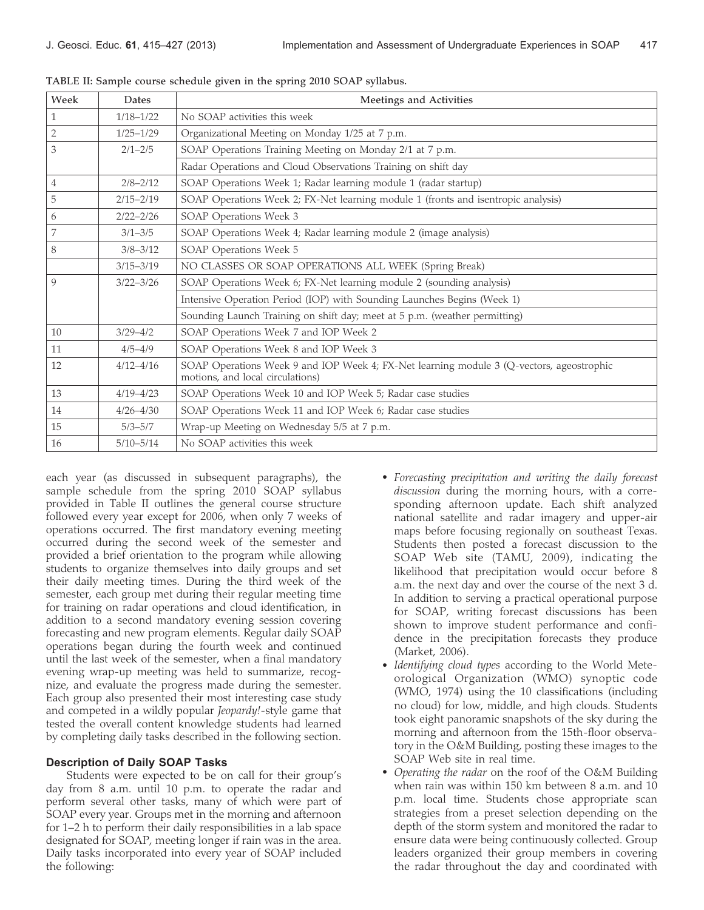| Week         | Dates         | Meetings and Activities                                                                                                      |
|--------------|---------------|------------------------------------------------------------------------------------------------------------------------------|
| $\mathbf{1}$ | $1/18 - 1/22$ | No SOAP activities this week                                                                                                 |
| 2            | $1/25 - 1/29$ | Organizational Meeting on Monday 1/25 at 7 p.m.                                                                              |
| 3            | $2/1 - 2/5$   | SOAP Operations Training Meeting on Monday 2/1 at 7 p.m.                                                                     |
|              |               | Radar Operations and Cloud Observations Training on shift day                                                                |
| 4            | $2/8 - 2/12$  | SOAP Operations Week 1; Radar learning module 1 (radar startup)                                                              |
| 5            | $2/15 - 2/19$ | SOAP Operations Week 2; FX-Net learning module 1 (fronts and isentropic analysis)                                            |
| 6            | $2/22 - 2/26$ | SOAP Operations Week 3                                                                                                       |
| 7            | $3/1 - 3/5$   | SOAP Operations Week 4; Radar learning module 2 (image analysis)                                                             |
| 8            | $3/8 - 3/12$  | SOAP Operations Week 5                                                                                                       |
|              | $3/15 - 3/19$ | NO CLASSES OR SOAP OPERATIONS ALL WEEK (Spring Break)                                                                        |
| 9            | $3/22 - 3/26$ | SOAP Operations Week 6; FX-Net learning module 2 (sounding analysis)                                                         |
|              |               | Intensive Operation Period (IOP) with Sounding Launches Begins (Week 1)                                                      |
|              |               | Sounding Launch Training on shift day; meet at 5 p.m. (weather permitting)                                                   |
| 10           | $3/29 - 4/2$  | SOAP Operations Week 7 and IOP Week 2                                                                                        |
| 11           | $4/5 - 4/9$   | SOAP Operations Week 8 and IOP Week 3                                                                                        |
| 12           | $4/12 - 4/16$ | SOAP Operations Week 9 and IOP Week 4; FX-Net learning module 3 (Q-vectors, ageostrophic<br>motions, and local circulations) |
| 13           | $4/19 - 4/23$ | SOAP Operations Week 10 and IOP Week 5; Radar case studies                                                                   |
| 14           | $4/26 - 4/30$ | SOAP Operations Week 11 and IOP Week 6; Radar case studies                                                                   |
| 15           | $5/3 - 5/7$   | Wrap-up Meeting on Wednesday 5/5 at 7 p.m.                                                                                   |
| 16           | $5/10 - 5/14$ | No SOAP activities this week                                                                                                 |

TABLE II: Sample course schedule given in the spring 2010 SOAP syllabus.

each year (as discussed in subsequent paragraphs), the sample schedule from the spring 2010 SOAP syllabus provided in Table II outlines the general course structure followed every year except for 2006, when only 7 weeks of operations occurred. The first mandatory evening meeting occurred during the second week of the semester and provided a brief orientation to the program while allowing students to organize themselves into daily groups and set their daily meeting times. During the third week of the semester, each group met during their regular meeting time for training on radar operations and cloud identification, in addition to a second mandatory evening session covering forecasting and new program elements. Regular daily SOAP operations began during the fourth week and continued until the last week of the semester, when a final mandatory evening wrap-up meeting was held to summarize, recognize, and evaluate the progress made during the semester. Each group also presented their most interesting case study and competed in a wildly popular *Jeopardy!*-style game that tested the overall content knowledge students had learned by completing daily tasks described in the following section.

### Description of Daily SOAP Tasks

Students were expected to be on call for their group's day from 8 a.m. until 10 p.m. to operate the radar and perform several other tasks, many of which were part of SOAP every year. Groups met in the morning and afternoon for 1–2 h to perform their daily responsibilities in a lab space designated for SOAP, meeting longer if rain was in the area. Daily tasks incorporated into every year of SOAP included the following:

- Forecasting precipitation and writing the daily forecast discussion during the morning hours, with a corresponding afternoon update. Each shift analyzed national satellite and radar imagery and upper-air maps before focusing regionally on southeast Texas. Students then posted a forecast discussion to the SOAP Web site (TAMU, 2009), indicating the likelihood that precipitation would occur before 8 a.m. the next day and over the course of the next 3 d. In addition to serving a practical operational purpose for SOAP, writing forecast discussions has been shown to improve student performance and confidence in the precipitation forecasts they produce (Market, 2006).
- Identifying cloud types according to the World Meteorological Organization (WMO) synoptic code (WMO, 1974) using the 10 classifications (including no cloud) for low, middle, and high clouds. Students took eight panoramic snapshots of the sky during the morning and afternoon from the 15th-floor observatory in the O&M Building, posting these images to the SOAP Web site in real time.
- Operating the radar on the roof of the O&M Building when rain was within 150 km between 8 a.m. and 10 p.m. local time. Students chose appropriate scan strategies from a preset selection depending on the depth of the storm system and monitored the radar to ensure data were being continuously collected. Group leaders organized their group members in covering the radar throughout the day and coordinated with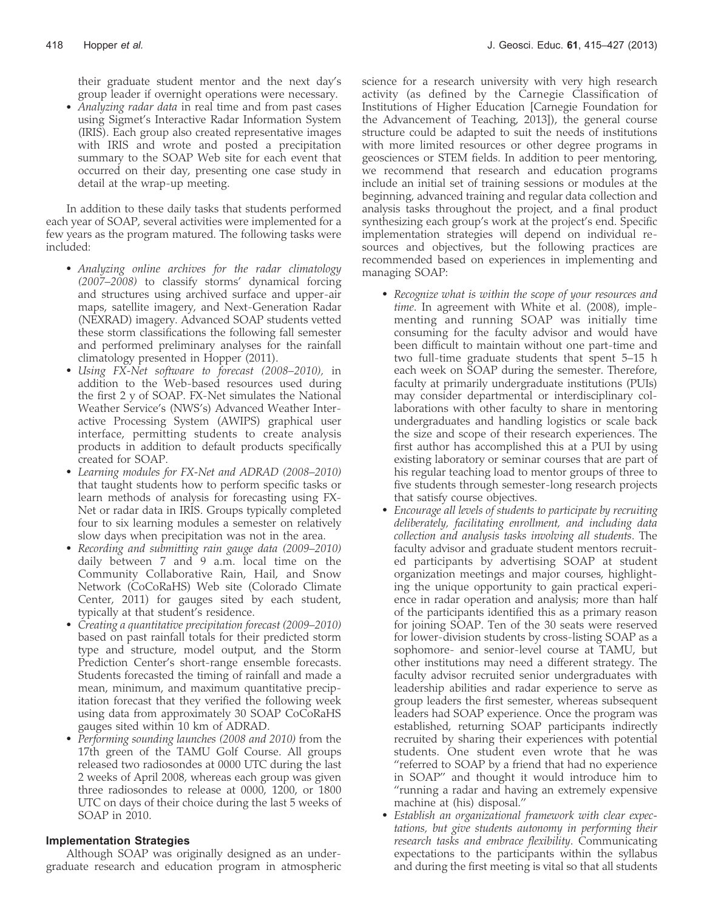their graduate student mentor and the next day's group leader if overnight operations were necessary.

• Analyzing radar data in real time and from past cases using Sigmet's Interactive Radar Information System (IRIS). Each group also created representative images with IRIS and wrote and posted a precipitation summary to the SOAP Web site for each event that occurred on their day, presenting one case study in detail at the wrap-up meeting.

In addition to these daily tasks that students performed each year of SOAP, several activities were implemented for a few years as the program matured. The following tasks were included:

- Analyzing online archives for the radar climatology (2007–2008) to classify storms' dynamical forcing and structures using archived surface and upper-air maps, satellite imagery, and Next-Generation Radar (NEXRAD) imagery. Advanced SOAP students vetted these storm classifications the following fall semester and performed preliminary analyses for the rainfall climatology presented in Hopper (2011).
- Using FX-Net software to forecast (2008–2010), in addition to the Web-based resources used during the first 2 y of SOAP. FX-Net simulates the National Weather Service's (NWS's) Advanced Weather Interactive Processing System (AWIPS) graphical user interface, permitting students to create analysis products in addition to default products specifically created for SOAP.
- Learning modules for FX-Net and ADRAD (2008–2010) that taught students how to perform specific tasks or learn methods of analysis for forecasting using FX-Net or radar data in IRIS. Groups typically completed four to six learning modules a semester on relatively slow days when precipitation was not in the area.
- Recording and submitting rain gauge data (2009–2010) daily between 7 and 9 a.m. local time on the Community Collaborative Rain, Hail, and Snow Network (CoCoRaHS) Web site (Colorado Climate Center, 2011) for gauges sited by each student, typically at that student's residence.
- Creating a quantitative precipitation forecast (2009–2010) based on past rainfall totals for their predicted storm type and structure, model output, and the Storm Prediction Center's short-range ensemble forecasts. Students forecasted the timing of rainfall and made a mean, minimum, and maximum quantitative precipitation forecast that they verified the following week using data from approximately 30 SOAP CoCoRaHS gauges sited within 10 km of ADRAD.
- Performing sounding launches (2008 and 2010) from the 17th green of the TAMU Golf Course. All groups released two radiosondes at 0000 UTC during the last 2 weeks of April 2008, whereas each group was given three radiosondes to release at 0000, 1200, or 1800 UTC on days of their choice during the last 5 weeks of SOAP in 2010.

### Implementation Strategies

Although SOAP was originally designed as an undergraduate research and education program in atmospheric science for a research university with very high research activity (as defined by the Carnegie Classification of Institutions of Higher Education [Carnegie Foundation for the Advancement of Teaching, 2013]), the general course structure could be adapted to suit the needs of institutions with more limited resources or other degree programs in geosciences or STEM fields. In addition to peer mentoring, we recommend that research and education programs include an initial set of training sessions or modules at the beginning, advanced training and regular data collection and analysis tasks throughout the project, and a final product synthesizing each group's work at the project's end. Specific implementation strategies will depend on individual resources and objectives, but the following practices are recommended based on experiences in implementing and managing SOAP:

- Recognize what is within the scope of your resources and time. In agreement with White et al. (2008), implementing and running SOAP was initially time consuming for the faculty advisor and would have been difficult to maintain without one part-time and two full-time graduate students that spent 5–15 h each week on SOAP during the semester. Therefore, faculty at primarily undergraduate institutions (PUIs) may consider departmental or interdisciplinary collaborations with other faculty to share in mentoring undergraduates and handling logistics or scale back the size and scope of their research experiences. The first author has accomplished this at a PUI by using existing laboratory or seminar courses that are part of his regular teaching load to mentor groups of three to five students through semester-long research projects that satisfy course objectives.
- Encourage all levels of students to participate by recruiting deliberately, facilitating enrollment, and including data collection and analysis tasks involving all students. The faculty advisor and graduate student mentors recruited participants by advertising SOAP at student organization meetings and major courses, highlighting the unique opportunity to gain practical experience in radar operation and analysis; more than half of the participants identified this as a primary reason for joining SOAP. Ten of the 30 seats were reserved for lower-division students by cross-listing SOAP as a sophomore- and senior-level course at TAMU, but other institutions may need a different strategy. The faculty advisor recruited senior undergraduates with leadership abilities and radar experience to serve as group leaders the first semester, whereas subsequent leaders had SOAP experience. Once the program was established, returning SOAP participants indirectly recruited by sharing their experiences with potential students. One student even wrote that he was ''referred to SOAP by a friend that had no experience in SOAP'' and thought it would introduce him to ''running a radar and having an extremely expensive machine at (his) disposal.''
- Establish an organizational framework with clear expectations, but give students autonomy in performing their research tasks and embrace flexibility. Communicating expectations to the participants within the syllabus and during the first meeting is vital so that all students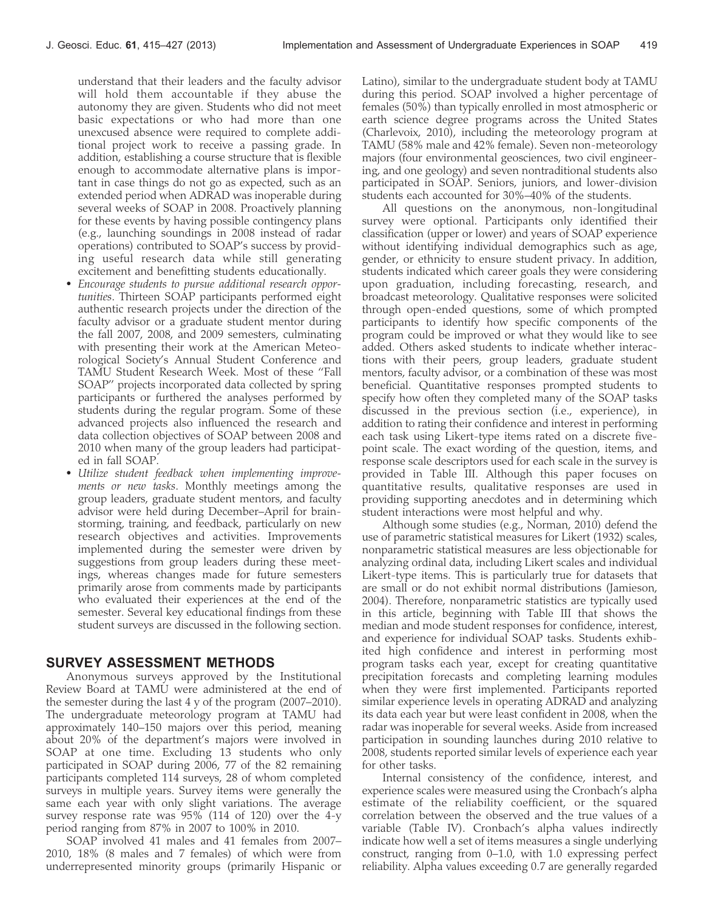understand that their leaders and the faculty advisor will hold them accountable if they abuse the autonomy they are given. Students who did not meet basic expectations or who had more than one unexcused absence were required to complete additional project work to receive a passing grade. In addition, establishing a course structure that is flexible enough to accommodate alternative plans is important in case things do not go as expected, such as an extended period when ADRAD was inoperable during several weeks of SOAP in 2008. Proactively planning for these events by having possible contingency plans (e.g., launching soundings in 2008 instead of radar operations) contributed to SOAP's success by providing useful research data while still generating excitement and benefitting students educationally.

- Encourage students to pursue additional research opportunities. Thirteen SOAP participants performed eight authentic research projects under the direction of the faculty advisor or a graduate student mentor during the fall 2007, 2008, and 2009 semesters, culminating with presenting their work at the American Meteorological Society's Annual Student Conference and TAMU Student Research Week. Most of these ''Fall SOAP'' projects incorporated data collected by spring participants or furthered the analyses performed by students during the regular program. Some of these advanced projects also influenced the research and data collection objectives of SOAP between 2008 and 2010 when many of the group leaders had participated in fall SOAP.
- Utilize student feedback when implementing improvements or new tasks. Monthly meetings among the group leaders, graduate student mentors, and faculty advisor were held during December–April for brainstorming, training, and feedback, particularly on new research objectives and activities. Improvements implemented during the semester were driven by suggestions from group leaders during these meetings, whereas changes made for future semesters primarily arose from comments made by participants who evaluated their experiences at the end of the semester. Several key educational findings from these student surveys are discussed in the following section.

## SURVEY ASSESSMENT METHODS

Anonymous surveys approved by the Institutional Review Board at TAMU were administered at the end of the semester during the last 4 y of the program (2007–2010). The undergraduate meteorology program at TAMU had approximately 140–150 majors over this period, meaning about 20% of the department's majors were involved in SOAP at one time. Excluding 13 students who only participated in SOAP during 2006, 77 of the 82 remaining participants completed 114 surveys, 28 of whom completed surveys in multiple years. Survey items were generally the same each year with only slight variations. The average survey response rate was 95% (114 of 120) over the 4-y period ranging from 87% in 2007 to 100% in 2010.

SOAP involved 41 males and 41 females from 2007– 2010, 18% (8 males and 7 females) of which were from underrepresented minority groups (primarily Hispanic or Latino), similar to the undergraduate student body at TAMU during this period. SOAP involved a higher percentage of females (50%) than typically enrolled in most atmospheric or earth science degree programs across the United States (Charlevoix, 2010), including the meteorology program at TAMU (58% male and 42% female). Seven non-meteorology majors (four environmental geosciences, two civil engineering, and one geology) and seven nontraditional students also participated in SOAP. Seniors, juniors, and lower-division students each accounted for 30%–40% of the students.

All questions on the anonymous, non-longitudinal survey were optional. Participants only identified their classification (upper or lower) and years of SOAP experience without identifying individual demographics such as age, gender, or ethnicity to ensure student privacy. In addition, students indicated which career goals they were considering upon graduation, including forecasting, research, and broadcast meteorology. Qualitative responses were solicited through open-ended questions, some of which prompted participants to identify how specific components of the program could be improved or what they would like to see added. Others asked students to indicate whether interactions with their peers, group leaders, graduate student mentors, faculty advisor, or a combination of these was most beneficial. Quantitative responses prompted students to specify how often they completed many of the SOAP tasks discussed in the previous section (i.e., experience), in addition to rating their confidence and interest in performing each task using Likert-type items rated on a discrete fivepoint scale. The exact wording of the question, items, and response scale descriptors used for each scale in the survey is provided in Table III. Although this paper focuses on quantitative results, qualitative responses are used in providing supporting anecdotes and in determining which student interactions were most helpful and why.

Although some studies (e.g., Norman, 2010) defend the use of parametric statistical measures for Likert (1932) scales, nonparametric statistical measures are less objectionable for analyzing ordinal data, including Likert scales and individual Likert-type items. This is particularly true for datasets that are small or do not exhibit normal distributions (Jamieson, 2004). Therefore, nonparametric statistics are typically used in this article, beginning with Table III that shows the median and mode student responses for confidence, interest, and experience for individual SOAP tasks. Students exhibited high confidence and interest in performing most program tasks each year, except for creating quantitative precipitation forecasts and completing learning modules when they were first implemented. Participants reported similar experience levels in operating ADRAD and analyzing its data each year but were least confident in 2008, when the radar was inoperable for several weeks. Aside from increased participation in sounding launches during 2010 relative to 2008, students reported similar levels of experience each year for other tasks.

Internal consistency of the confidence, interest, and experience scales were measured using the Cronbach's alpha estimate of the reliability coefficient, or the squared correlation between the observed and the true values of a variable (Table IV). Cronbach's alpha values indirectly indicate how well a set of items measures a single underlying construct, ranging from 0–1.0, with 1.0 expressing perfect reliability. Alpha values exceeding 0.7 are generally regarded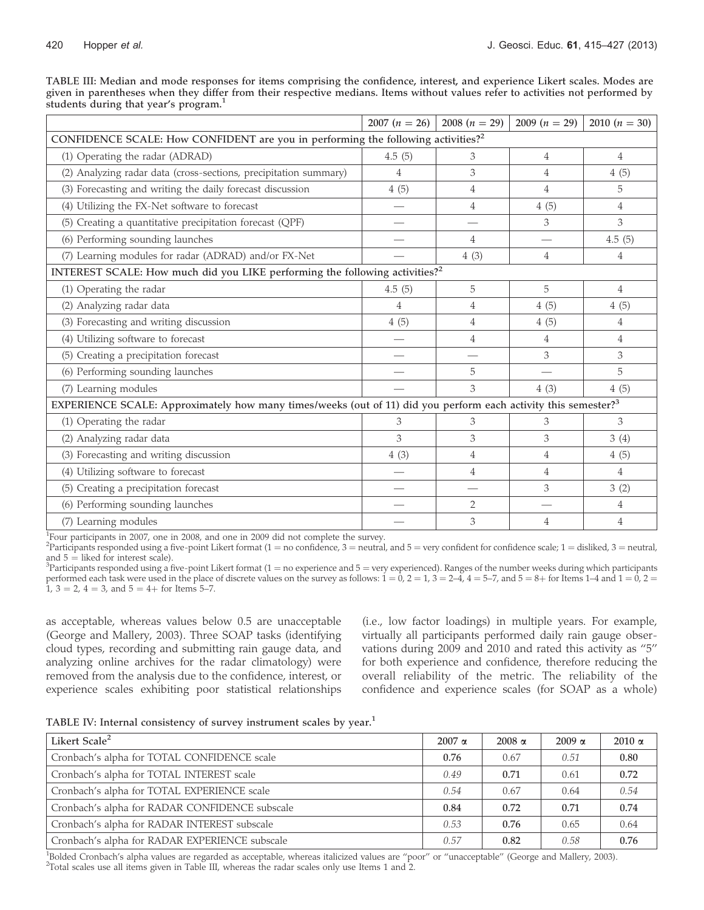|                                                   | TABLE III: Median and mode responses for items comprising the confidence, interest, and experience Likert scales. Modes are    |  |  |  |  |
|---------------------------------------------------|--------------------------------------------------------------------------------------------------------------------------------|--|--|--|--|
|                                                   | given in parentheses when they differ from their respective medians. Items without values refer to activities not performed by |  |  |  |  |
| students during that year's program. <sup>1</sup> |                                                                                                                                |  |  |  |  |

|                                                                                                                            | $2007(n = 26)$           | 2008 $(n = 29)$ | 2009 $(n = 29)$ | 2010 $(n = 30)$ |  |  |  |  |
|----------------------------------------------------------------------------------------------------------------------------|--------------------------|-----------------|-----------------|-----------------|--|--|--|--|
| CONFIDENCE SCALE: How CONFIDENT are you in performing the following activities? <sup>2</sup>                               |                          |                 |                 |                 |  |  |  |  |
| (1) Operating the radar (ADRAD)                                                                                            | 4.5(5)                   | 3               | 4               | $\overline{4}$  |  |  |  |  |
| (2) Analyzing radar data (cross-sections, precipitation summary)                                                           | 4                        | 3               | 4               | 4(5)            |  |  |  |  |
| (3) Forecasting and writing the daily forecast discussion                                                                  | 4(5)                     | 4               | 4               | 5               |  |  |  |  |
| (4) Utilizing the FX-Net software to forecast                                                                              |                          | $\overline{4}$  | 4(5)            | 4               |  |  |  |  |
| (5) Creating a quantitative precipitation forecast (QPF)                                                                   |                          |                 | 3               | 3               |  |  |  |  |
| (6) Performing sounding launches                                                                                           | $\overline{\phantom{0}}$ | 4               |                 | 4.5(5)          |  |  |  |  |
| (7) Learning modules for radar (ADRAD) and/or FX-Net                                                                       |                          | 4(3)            | 4               | 4               |  |  |  |  |
| INTEREST SCALE: How much did you LIKE performing the following activities? <sup>2</sup>                                    |                          |                 |                 |                 |  |  |  |  |
| (1) Operating the radar                                                                                                    | 4.5(5)                   | 5               | 5               | $\overline{4}$  |  |  |  |  |
| (2) Analyzing radar data                                                                                                   | 4                        | $\overline{4}$  | 4(5)            | 4(5)            |  |  |  |  |
| (3) Forecasting and writing discussion                                                                                     | 4(5)                     | 4               | 4(5)            | 4               |  |  |  |  |
| (4) Utilizing software to forecast                                                                                         |                          | 4               | 4               | 4               |  |  |  |  |
| (5) Creating a precipitation forecast                                                                                      |                          |                 | 3               | 3               |  |  |  |  |
| (6) Performing sounding launches                                                                                           |                          | 5               |                 | 5               |  |  |  |  |
| (7) Learning modules                                                                                                       |                          | 3               | 4(3)            | 4(5)            |  |  |  |  |
| EXPERIENCE SCALE: Approximately how many times/weeks (out of 11) did you perform each activity this semester? <sup>3</sup> |                          |                 |                 |                 |  |  |  |  |
| (1) Operating the radar                                                                                                    | 3                        | 3               | 3               | 3               |  |  |  |  |
| (2) Analyzing radar data                                                                                                   | 3                        | 3               | 3               | 3(4)            |  |  |  |  |
| (3) Forecasting and writing discussion                                                                                     | 4(3)                     | 4               | 4               | 4(5)            |  |  |  |  |
| (4) Utilizing software to forecast                                                                                         |                          | 4               | 4               | $\overline{4}$  |  |  |  |  |
| (5) Creating a precipitation forecast                                                                                      |                          |                 | 3               | 3(2)            |  |  |  |  |
| (6) Performing sounding launches                                                                                           |                          | $\overline{2}$  |                 | 4               |  |  |  |  |
| (7) Learning modules                                                                                                       |                          | 3               | 4               | $\overline{4}$  |  |  |  |  |

<sup>1</sup>Four participants in 2007, one in 2008, and one in 2009 did not complete the survey.

 $^2$ Partic $\dot{\dot{\text{i}}}$ pants responded using a five-point Likert format (1 = no confidence, 3 = neutral, and 5 = very confident for confidence scale; 1 = disliked, 3 = neutral, and  $5 =$  liked for interest scale).

 ${}^{3}$ Participants responded using a five-point Likert format (1 = no experience and 5 = very experienced). Ranges of the number weeks during which participants performed each task were used in the place of discrete values on the survey as follows:  $1 = 0$ ,  $2 = 1$ ,  $3 = 2-4$ ,  $4 = 5-7$ , and  $5 = 8+$  for Items  $1-4$  and  $1 = 0$ ,  $2 = 1$ 1,  $3 = 2$ ,  $4 = 3$ , and  $5 = 4 +$  for Items 5–7.

as acceptable, whereas values below 0.5 are unacceptable (George and Mallery, 2003). Three SOAP tasks (identifying cloud types, recording and submitting rain gauge data, and analyzing online archives for the radar climatology) were removed from the analysis due to the confidence, interest, or experience scales exhibiting poor statistical relationships (i.e., low factor loadings) in multiple years. For example, virtually all participants performed daily rain gauge observations during 2009 and 2010 and rated this activity as ''5'' for both experience and confidence, therefore reducing the overall reliability of the metric. The reliability of the confidence and experience scales (for SOAP as a whole)

| TABLE IV: Internal consistency of survey instrument scales by year. <sup>1</sup> |  |  |  |
|----------------------------------------------------------------------------------|--|--|--|
|                                                                                  |  |  |  |

| Likert Scale <sup>2</sup>                      | $2007 \alpha$ | $2008 \alpha$ | $2009 \alpha$ | $2010 \alpha$ |
|------------------------------------------------|---------------|---------------|---------------|---------------|
| Cronbach's alpha for TOTAL CONFIDENCE scale    | 0.76          | 0.67          | 0.51          | 0.80          |
| Cronbach's alpha for TOTAL INTEREST scale      | 0.49          | 0.71          | 0.61          | 0.72          |
| Cronbach's alpha for TOTAL EXPERIENCE scale    | 0.54          | 0.67          | 0.64          | 0.54          |
| Cronbach's alpha for RADAR CONFIDENCE subscale | 0.84          | 0.72          | 0.71          | 0.74          |
| Cronbach's alpha for RADAR INTEREST subscale   | 0.53          | 0.76          | 0.65          | 0.64          |
| Cronbach's alpha for RADAR EXPERIENCE subscale | 0.57          | 0.82          | 0.58          | 0.76          |

<sup>1</sup>Bolded Cronbach's alpha values are regarded as acceptable, whereas italicized values are "poor" or "unacceptable" (George and Mallery, 2003). <sup>2</sup>Total scales use all items given in Table III, whereas the radar scales only use Items 1 and 2.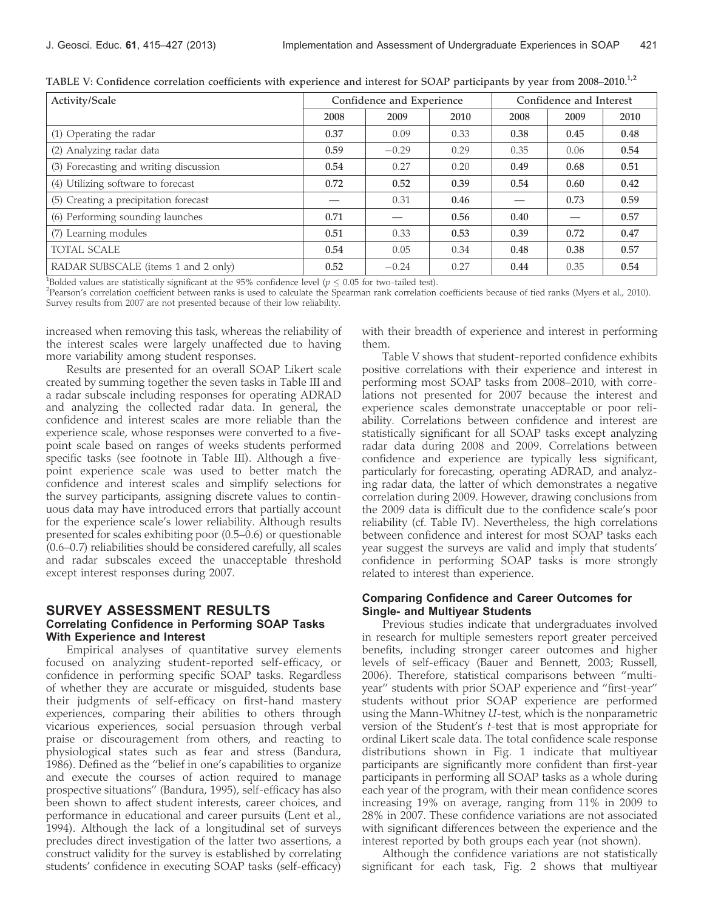| Activity/Scale                         | Confidence and Experience |         |      | Confidence and Interest |      |      |
|----------------------------------------|---------------------------|---------|------|-------------------------|------|------|
|                                        | 2008                      | 2009    | 2010 | 2008                    | 2009 | 2010 |
| (1) Operating the radar                | 0.37                      | 0.09    | 0.33 | 0.38                    | 0.45 | 0.48 |
| (2) Analyzing radar data               | 0.59                      | $-0.29$ | 0.29 | 0.35                    | 0.06 | 0.54 |
| (3) Forecasting and writing discussion | 0.54                      | 0.27    | 0.20 | 0.49                    | 0.68 | 0.51 |
| (4) Utilizing software to forecast     | 0.72                      | 0.52    | 0.39 | 0.54                    | 0.60 | 0.42 |
| (5) Creating a precipitation forecast  |                           | 0.31    | 0.46 |                         | 0.73 | 0.59 |
| (6) Performing sounding launches       | 0.71                      |         | 0.56 | 0.40                    |      | 0.57 |
| Learning modules<br>(7)                | 0.51                      | 0.33    | 0.53 | 0.39                    | 0.72 | 0.47 |
| <b>TOTAL SCALE</b>                     | 0.54                      | 0.05    | 0.34 | 0.48                    | 0.38 | 0.57 |
| RADAR SUBSCALE (items 1 and 2 only)    | 0.52                      | $-0.24$ | 0.27 | 0.44                    | 0.35 | 0.54 |

TABLE V: Confidence correlation coefficients with experience and interest for SOAP participants by year from 2008–2010.<sup>1,2</sup>

<sup>1</sup>Bolded values are statistically significant at the 95% confidence level ( $p \leq 0.05$  for two-tailed test).

<sup>2</sup>Pearson's correlation coefficient between ranks is used to calculate the Spearman rank correlation coefficients because of tied ranks (Myers et al., 2010). Survey results from 2007 are not presented because of their low reliability.

increased when removing this task, whereas the reliability of the interest scales were largely unaffected due to having more variability among student responses.

Results are presented for an overall SOAP Likert scale created by summing together the seven tasks in Table III and a radar subscale including responses for operating ADRAD and analyzing the collected radar data. In general, the confidence and interest scales are more reliable than the experience scale, whose responses were converted to a fivepoint scale based on ranges of weeks students performed specific tasks (see footnote in Table III). Although a fivepoint experience scale was used to better match the confidence and interest scales and simplify selections for the survey participants, assigning discrete values to continuous data may have introduced errors that partially account for the experience scale's lower reliability. Although results presented for scales exhibiting poor (0.5–0.6) or questionable (0.6–0.7) reliabilities should be considered carefully, all scales and radar subscales exceed the unacceptable threshold except interest responses during 2007.

### SURVEY ASSESSMENT RESULTS Correlating Confidence in Performing SOAP Tasks With Experience and Interest

Empirical analyses of quantitative survey elements focused on analyzing student-reported self-efficacy, or confidence in performing specific SOAP tasks. Regardless of whether they are accurate or misguided, students base their judgments of self-efficacy on first-hand mastery experiences, comparing their abilities to others through vicarious experiences, social persuasion through verbal praise or discouragement from others, and reacting to physiological states such as fear and stress (Bandura, 1986). Defined as the ''belief in one's capabilities to organize and execute the courses of action required to manage prospective situations'' (Bandura, 1995), self-efficacy has also been shown to affect student interests, career choices, and performance in educational and career pursuits (Lent et al., 1994). Although the lack of a longitudinal set of surveys precludes direct investigation of the latter two assertions, a construct validity for the survey is established by correlating students' confidence in executing SOAP tasks (self-efficacy)

with their breadth of experience and interest in performing them.

Table V shows that student-reported confidence exhibits positive correlations with their experience and interest in performing most SOAP tasks from 2008–2010, with correlations not presented for 2007 because the interest and experience scales demonstrate unacceptable or poor reliability. Correlations between confidence and interest are statistically significant for all SOAP tasks except analyzing radar data during 2008 and 2009. Correlations between confidence and experience are typically less significant, particularly for forecasting, operating ADRAD, and analyzing radar data, the latter of which demonstrates a negative correlation during 2009. However, drawing conclusions from the 2009 data is difficult due to the confidence scale's poor reliability (cf. Table IV). Nevertheless, the high correlations between confidence and interest for most SOAP tasks each year suggest the surveys are valid and imply that students' confidence in performing SOAP tasks is more strongly related to interest than experience.

### Comparing Confidence and Career Outcomes for Single- and Multiyear Students

Previous studies indicate that undergraduates involved in research for multiple semesters report greater perceived benefits, including stronger career outcomes and higher levels of self-efficacy (Bauer and Bennett, 2003; Russell, 2006). Therefore, statistical comparisons between ''multiyear'' students with prior SOAP experience and ''first-year'' students without prior SOAP experience are performed using the Mann-Whitney U-test, which is the nonparametric version of the Student's t-test that is most appropriate for ordinal Likert scale data. The total confidence scale response distributions shown in Fig. 1 indicate that multiyear participants are significantly more confident than first-year participants in performing all SOAP tasks as a whole during each year of the program, with their mean confidence scores increasing 19% on average, ranging from 11% in 2009 to 28% in 2007. These confidence variations are not associated with significant differences between the experience and the interest reported by both groups each year (not shown).

Although the confidence variations are not statistically significant for each task, Fig. 2 shows that multiyear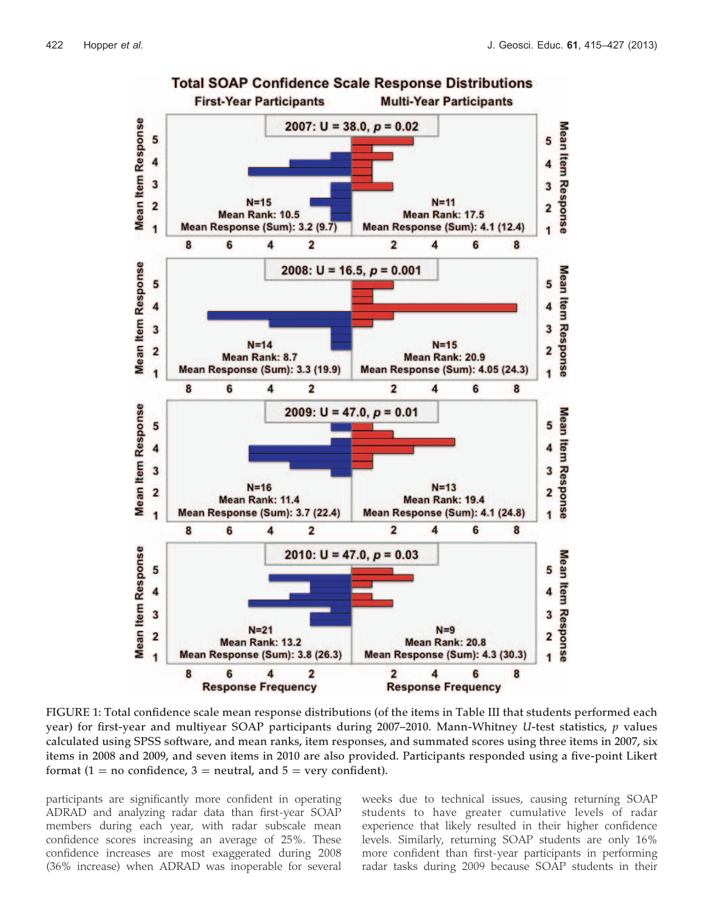

FIGURE 1: Total confidence scale mean response distributions (of the items in Table III that students performed each year) for first-year and multiyear SOAP participants during 2007–2010. Mann-Whitney U-test statistics,  $p$  values calculated using SPSS software, and mean ranks, item responses, and summated scores using three items in 2007, six items in 2008 and 2009, and seven items in 2010 are also provided. Participants responded using a five-point Likert format (1 = no confidence, 3 = neutral, and  $5 =$  very confident).

participants are significantly more confident in operating ADRAD and analyzing radar data than first-year SOAP members during each year, with radar subscale mean confidence scores increasing an average of 25%. These confidence increases are most exaggerated during 2008 (36% increase) when ADRAD was inoperable for several weeks due to technical issues, causing returning SOAP students to have greater cumulative levels of radar experience that likely resulted in their higher confidence levels. Similarly, returning SOAP students are only 16% more confident than first-year participants in performing radar tasks during 2009 because SOAP students in their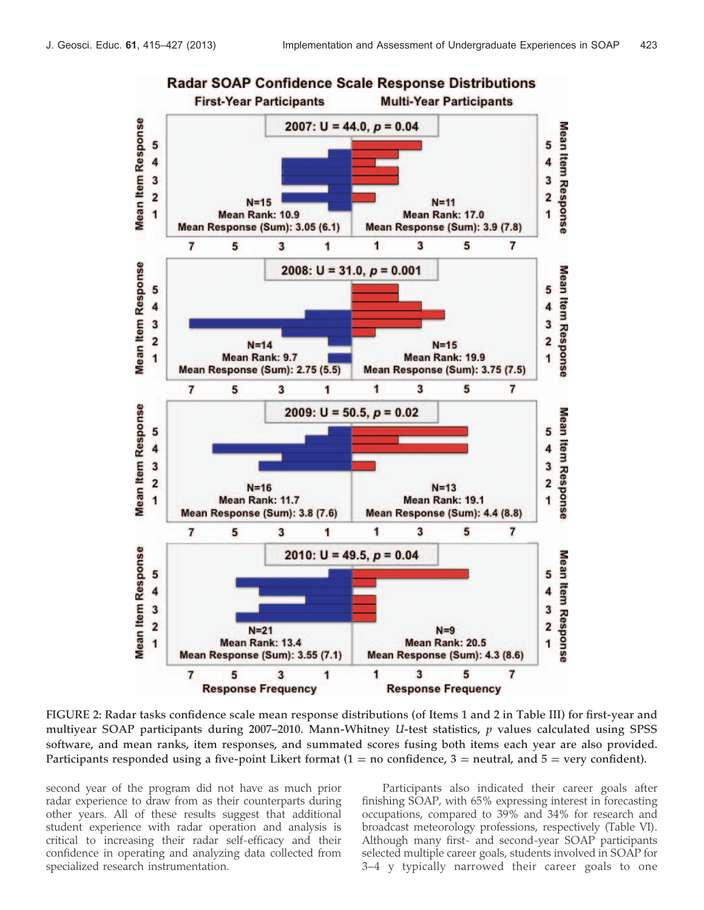

FIGURE 2: Radar tasks confidence scale mean response distributions (of Items 1 and 2 in Table III) for first-year and multiyear SOAP participants during 2007–2010. Mann-Whitney U-test statistics, p values calculated using SPSS software, and mean ranks, item responses, and summated scores fusing both items each year are also provided. Participants responded using a five-point Likert format  $(1 = no$  confidence,  $3 =$  neutral, and  $5 =$  very confident).

second year of the program did not have as much prior radar experience to draw from as their counterparts during other years. All of these results suggest that additional student experience with radar operation and analysis is critical to increasing their radar self-efficacy and their confidence in operating and analyzing data collected from specialized research instrumentation.

Participants also indicated their career goals after finishing SOAP, with 65% expressing interest in forecasting occupations, compared to 39% and 34% for research and broadcast meteorology professions, respectively (Table VI). Although many first- and second-year SOAP participants selected multiple career goals, students involved in SOAP for 3–4 y typically narrowed their career goals to one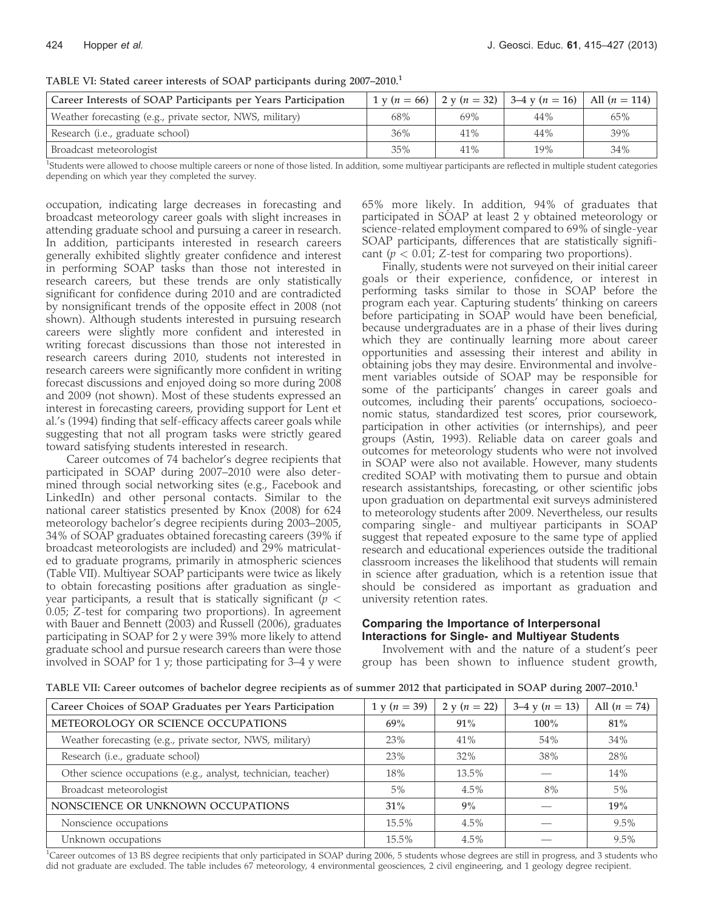| Career Interests of SOAP Participants per Years Participation |     |     | 1 y (n = 66)   2 y (n = 32)   3–4 y (n = 16) | All $(n = 114)$ |
|---------------------------------------------------------------|-----|-----|----------------------------------------------|-----------------|
| Weather forecasting (e.g., private sector, NWS, military)     | 68% | 69% | 44%                                          | 65%             |
| Research (i.e., graduate school)                              | 36% | 41% | 44%                                          | 39%             |
| Broadcast meteorologist                                       | 35% | 41% | 19%                                          | 34%             |

TABLE VI: Stated career interests of SOAP participants during 2007–2010.<sup>1</sup>

<sup>1</sup>Students were allowed to choose multiple careers or none of those listed. In addition, some multiyear participants are reflected in multiple student categories depending on which year they completed the survey.

occupation, indicating large decreases in forecasting and broadcast meteorology career goals with slight increases in attending graduate school and pursuing a career in research. In addition, participants interested in research careers generally exhibited slightly greater confidence and interest in performing SOAP tasks than those not interested in research careers, but these trends are only statistically significant for confidence during 2010 and are contradicted by nonsignificant trends of the opposite effect in 2008 (not shown). Although students interested in pursuing research careers were slightly more confident and interested in writing forecast discussions than those not interested in research careers during 2010, students not interested in research careers were significantly more confident in writing forecast discussions and enjoyed doing so more during 2008 and 2009 (not shown). Most of these students expressed an interest in forecasting careers, providing support for Lent et al.'s (1994) finding that self-efficacy affects career goals while suggesting that not all program tasks were strictly geared toward satisfying students interested in research.

Career outcomes of 74 bachelor's degree recipients that participated in SOAP during 2007–2010 were also determined through social networking sites (e.g., Facebook and LinkedIn) and other personal contacts. Similar to the national career statistics presented by Knox (2008) for 624 meteorology bachelor's degree recipients during 2003–2005, 34% of SOAP graduates obtained forecasting careers (39% if broadcast meteorologists are included) and 29% matriculated to graduate programs, primarily in atmospheric sciences (Table VII). Multiyear SOAP participants were twice as likely to obtain forecasting positions after graduation as singleyear participants, a result that is statically significant ( $p <$ 0.05; Z-test for comparing two proportions). In agreement with Bauer and Bennett (2003) and Russell (2006), graduates participating in SOAP for 2 y were 39% more likely to attend graduate school and pursue research careers than were those involved in SOAP for 1 y; those participating for 3–4 y were

65% more likely. In addition, 94% of graduates that participated in SOAP at least 2 y obtained meteorology or science-related employment compared to 69% of single-year SOAP participants, differences that are statistically significant ( $p < 0.01$ ; Z-test for comparing two proportions).

Finally, students were not surveyed on their initial career goals or their experience, confidence, or interest in performing tasks similar to those in SOAP before the program each year. Capturing students' thinking on careers before participating in SOAP would have been beneficial, because undergraduates are in a phase of their lives during which they are continually learning more about career opportunities and assessing their interest and ability in obtaining jobs they may desire. Environmental and involvement variables outside of SOAP may be responsible for some of the participants' changes in career goals and outcomes, including their parents' occupations, socioeconomic status, standardized test scores, prior coursework, participation in other activities (or internships), and peer groups (Astin, 1993). Reliable data on career goals and outcomes for meteorology students who were not involved in SOAP were also not available. However, many students credited SOAP with motivating them to pursue and obtain research assistantships, forecasting, or other scientific jobs upon graduation on departmental exit surveys administered to meteorology students after 2009. Nevertheless, our results comparing single- and multiyear participants in SOAP suggest that repeated exposure to the same type of applied research and educational experiences outside the traditional classroom increases the likelihood that students will remain in science after graduation, which is a retention issue that should be considered as important as graduation and university retention rates.

#### Comparing the Importance of Interpersonal Interactions for Single- and Multiyear Students

Involvement with and the nature of a student's peer group has been shown to influence student growth,

| TABLE VII: Career outcomes of bachelor degree recipients as of summer 2012 that participated in SOAP during 2007-2010. <sup>1</sup> |  |  |  |
|-------------------------------------------------------------------------------------------------------------------------------------|--|--|--|
|                                                                                                                                     |  |  |  |

| Career Choices of SOAP Graduates per Years Participation       | $1 y (n = 39)$ | 2 y ( $n = 22$ ) | 3–4 y ( $n = 13$ ) | All $(n = 74)$ |
|----------------------------------------------------------------|----------------|------------------|--------------------|----------------|
| METEOROLOGY OR SCIENCE OCCUPATIONS                             | 69%            | 91%              | $100\%$            | 81%            |
| Weather forecasting (e.g., private sector, NWS, military)      | 23%            | 41%              | 54%                | 34%            |
| Research (i.e., graduate school)                               | 23%            | 32%              | 38%                | 28%            |
| Other science occupations (e.g., analyst, technician, teacher) | 18%            | 13.5%            |                    | 14%            |
| Broadcast meteorologist                                        | $5\%$          | 4.5%             | 8%                 | 5%             |
| NONSCIENCE OR UNKNOWN OCCUPATIONS                              | $31\%$         | 9%               |                    | 19%            |
| Nonscience occupations                                         | 15.5%          | 4.5%             |                    | $9.5\%$        |
| Unknown occupations                                            | 15.5%          | 4.5%             |                    | $9.5\%$        |

<sup>1</sup>Career outcomes of 13 BS degree recipients that only participated in SOAP during 2006, 5 students whose degrees are still in progress, and 3 students who did not graduate are excluded. The table includes 67 meteorology, 4 environmental geosciences, 2 civil engineering, and 1 geology degree recipient.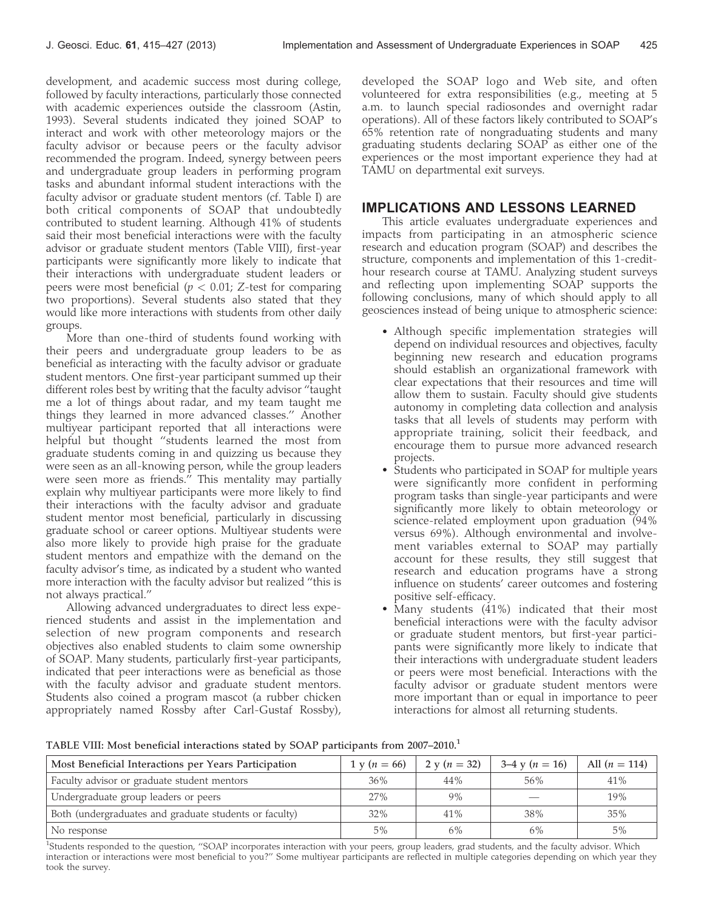development, and academic success most during college, followed by faculty interactions, particularly those connected with academic experiences outside the classroom (Astin, 1993). Several students indicated they joined SOAP to interact and work with other meteorology majors or the faculty advisor or because peers or the faculty advisor recommended the program. Indeed, synergy between peers and undergraduate group leaders in performing program tasks and abundant informal student interactions with the faculty advisor or graduate student mentors (cf. Table I) are both critical components of SOAP that undoubtedly contributed to student learning. Although 41% of students said their most beneficial interactions were with the faculty advisor or graduate student mentors (Table VIII), first-year participants were significantly more likely to indicate that their interactions with undergraduate student leaders or peers were most beneficial ( $p < 0.01$ ; Z-test for comparing two proportions). Several students also stated that they would like more interactions with students from other daily groups.

More than one-third of students found working with their peers and undergraduate group leaders to be as beneficial as interacting with the faculty advisor or graduate student mentors. One first-year participant summed up their different roles best by writing that the faculty advisor ''taught me a lot of things about radar, and my team taught me things they learned in more advanced classes.'' Another multiyear participant reported that all interactions were helpful but thought ''students learned the most from graduate students coming in and quizzing us because they were seen as an all-knowing person, while the group leaders were seen more as friends.'' This mentality may partially explain why multiyear participants were more likely to find their interactions with the faculty advisor and graduate student mentor most beneficial, particularly in discussing graduate school or career options. Multiyear students were also more likely to provide high praise for the graduate student mentors and empathize with the demand on the faculty advisor's time, as indicated by a student who wanted more interaction with the faculty advisor but realized ''this is not always practical.''

Allowing advanced undergraduates to direct less experienced students and assist in the implementation and selection of new program components and research objectives also enabled students to claim some ownership of SOAP. Many students, particularly first-year participants, indicated that peer interactions were as beneficial as those with the faculty advisor and graduate student mentors. Students also coined a program mascot (a rubber chicken appropriately named Rossby after Carl-Gustaf Rossby),

developed the SOAP logo and Web site, and often volunteered for extra responsibilities (e.g., meeting at 5 a.m. to launch special radiosondes and overnight radar operations). All of these factors likely contributed to SOAP's 65% retention rate of nongraduating students and many graduating students declaring SOAP as either one of the experiences or the most important experience they had at TAMU on departmental exit surveys.

# IMPLICATIONS AND LESSONS LEARNED

This article evaluates undergraduate experiences and impacts from participating in an atmospheric science research and education program (SOAP) and describes the structure, components and implementation of this 1-credithour research course at TAMU. Analyzing student surveys and reflecting upon implementing SOAP supports the following conclusions, many of which should apply to all geosciences instead of being unique to atmospheric science:

- Although specific implementation strategies will depend on individual resources and objectives, faculty beginning new research and education programs should establish an organizational framework with clear expectations that their resources and time will allow them to sustain. Faculty should give students autonomy in completing data collection and analysis tasks that all levels of students may perform with appropriate training, solicit their feedback, and encourage them to pursue more advanced research projects.
- Students who participated in SOAP for multiple years were significantly more confident in performing program tasks than single-year participants and were significantly more likely to obtain meteorology or science-related employment upon graduation (94% versus 69%). Although environmental and involvement variables external to SOAP may partially account for these results, they still suggest that research and education programs have a strong influence on students' career outcomes and fostering positive self-efficacy.
- Many students (41%) indicated that their most beneficial interactions were with the faculty advisor or graduate student mentors, but first-year participants were significantly more likely to indicate that their interactions with undergraduate student leaders or peers were most beneficial. Interactions with the faculty advisor or graduate student mentors were more important than or equal in importance to peer interactions for almost all returning students.

TABLE VIII: Most beneficial interactions stated by SOAP participants from 2007–2010.<sup>1</sup>

| Most Beneficial Interactions per Years Participation   | $1 \text{ v} (n = 66)$ | 2 y ( $n = 32$ ) | $3-4$ y ( $n = 16$ ) | All $(n = 114)$ |
|--------------------------------------------------------|------------------------|------------------|----------------------|-----------------|
| Faculty advisor or graduate student mentors            | 36%                    | 44%              | 56%                  | 41%             |
| Undergraduate group leaders or peers                   | 27%                    | 9%               |                      | 19%             |
| Both (undergraduates and graduate students or faculty) | 32%                    | 41%              | 38%                  | 35%             |
| No response                                            | $5\%$                  | 6%               | 6%                   | 5%              |

<sup>1</sup>Students responded to the question, "SOAP incorporates interaction with your peers, group leaders, grad students, and the faculty advisor. Which interaction or interactions were most beneficial to you?'' Some multiyear participants are reflected in multiple categories depending on which year they took the survey.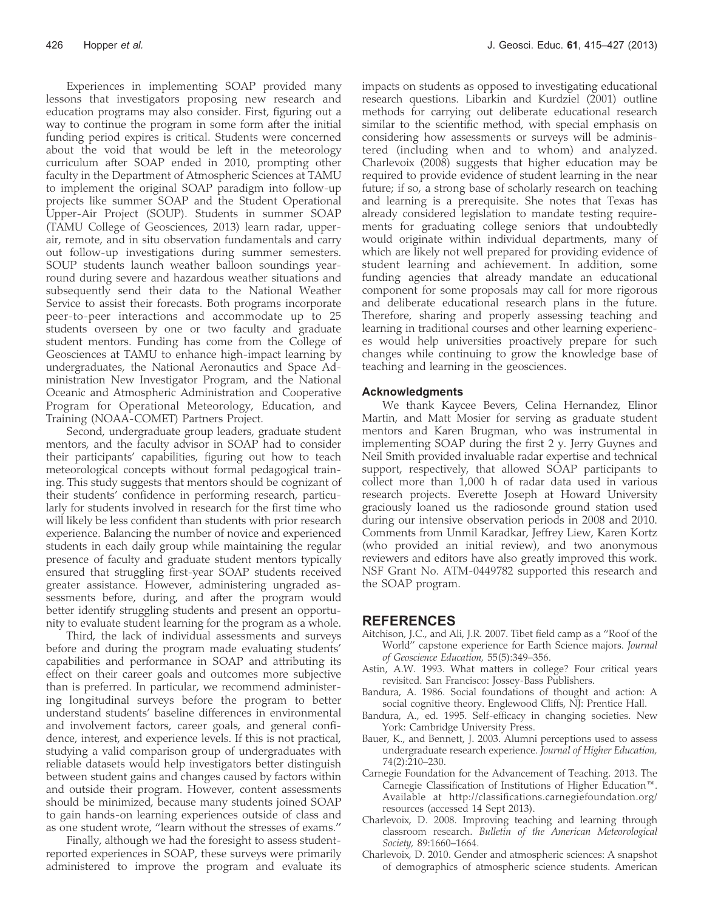Experiences in implementing SOAP provided many lessons that investigators proposing new research and education programs may also consider. First, figuring out a way to continue the program in some form after the initial funding period expires is critical. Students were concerned about the void that would be left in the meteorology curriculum after SOAP ended in 2010, prompting other faculty in the Department of Atmospheric Sciences at TAMU to implement the original SOAP paradigm into follow-up projects like summer SOAP and the Student Operational Upper-Air Project (SOUP). Students in summer SOAP (TAMU College of Geosciences, 2013) learn radar, upperair, remote, and in situ observation fundamentals and carry out follow-up investigations during summer semesters. SOUP students launch weather balloon soundings yearround during severe and hazardous weather situations and subsequently send their data to the National Weather Service to assist their forecasts. Both programs incorporate peer-to-peer interactions and accommodate up to 25 students overseen by one or two faculty and graduate student mentors. Funding has come from the College of Geosciences at TAMU to enhance high-impact learning by undergraduates, the National Aeronautics and Space Administration New Investigator Program, and the National Oceanic and Atmospheric Administration and Cooperative Program for Operational Meteorology, Education, and Training (NOAA-COMET) Partners Project.

Second, undergraduate group leaders, graduate student mentors, and the faculty advisor in SOAP had to consider their participants' capabilities, figuring out how to teach meteorological concepts without formal pedagogical training. This study suggests that mentors should be cognizant of their students' confidence in performing research, particularly for students involved in research for the first time who will likely be less confident than students with prior research experience. Balancing the number of novice and experienced students in each daily group while maintaining the regular presence of faculty and graduate student mentors typically ensured that struggling first-year SOAP students received greater assistance. However, administering ungraded assessments before, during, and after the program would better identify struggling students and present an opportunity to evaluate student learning for the program as a whole.

Third, the lack of individual assessments and surveys before and during the program made evaluating students' capabilities and performance in SOAP and attributing its effect on their career goals and outcomes more subjective than is preferred. In particular, we recommend administering longitudinal surveys before the program to better understand students' baseline differences in environmental and involvement factors, career goals, and general confidence, interest, and experience levels. If this is not practical, studying a valid comparison group of undergraduates with reliable datasets would help investigators better distinguish between student gains and changes caused by factors within and outside their program. However, content assessments should be minimized, because many students joined SOAP to gain hands-on learning experiences outside of class and as one student wrote, ''learn without the stresses of exams.''

Finally, although we had the foresight to assess studentreported experiences in SOAP, these surveys were primarily administered to improve the program and evaluate its impacts on students as opposed to investigating educational research questions. Libarkin and Kurdziel (2001) outline methods for carrying out deliberate educational research similar to the scientific method, with special emphasis on considering how assessments or surveys will be administered (including when and to whom) and analyzed. Charlevoix (2008) suggests that higher education may be required to provide evidence of student learning in the near future; if so, a strong base of scholarly research on teaching and learning is a prerequisite. She notes that Texas has already considered legislation to mandate testing requirements for graduating college seniors that undoubtedly would originate within individual departments, many of which are likely not well prepared for providing evidence of student learning and achievement. In addition, some funding agencies that already mandate an educational component for some proposals may call for more rigorous and deliberate educational research plans in the future. Therefore, sharing and properly assessing teaching and learning in traditional courses and other learning experiences would help universities proactively prepare for such changes while continuing to grow the knowledge base of teaching and learning in the geosciences.

#### Acknowledgments

We thank Kaycee Bevers, Celina Hernandez, Elinor Martin, and Matt Mosier for serving as graduate student mentors and Karen Brugman, who was instrumental in implementing SOAP during the first 2 y. Jerry Guynes and Neil Smith provided invaluable radar expertise and technical support, respectively, that allowed SOAP participants to collect more than 1,000 h of radar data used in various research projects. Everette Joseph at Howard University graciously loaned us the radiosonde ground station used during our intensive observation periods in 2008 and 2010. Comments from Unmil Karadkar, Jeffrey Liew, Karen Kortz (who provided an initial review), and two anonymous reviewers and editors have also greatly improved this work. NSF Grant No. ATM-0449782 supported this research and the SOAP program.

#### REFERENCES

- Aitchison, J.C., and Ali, J.R. 2007. Tibet field camp as a ''Roof of the World'' capstone experience for Earth Science majors. Journal of Geoscience Education, 55(5):349–356.
- Astin, A.W. 1993. What matters in college? Four critical years revisited. San Francisco: Jossey-Bass Publishers.
- Bandura, A. 1986. Social foundations of thought and action: A social cognitive theory. Englewood Cliffs, NJ: Prentice Hall.
- Bandura, A., ed. 1995. Self-efficacy in changing societies. New York: Cambridge University Press.
- Bauer, K., and Bennett, J. 2003. Alumni perceptions used to assess undergraduate research experience. Journal of Higher Education, 74(2):210–230.
- Carnegie Foundation for the Advancement of Teaching. 2013. The Carnegie Classification of Institutions of Higher Education<sup>TM</sup>. Available at http://classifications.carnegiefoundation.org/ resources (accessed 14 Sept 2013).
- Charlevoix, D. 2008. Improving teaching and learning through classroom research. Bulletin of the American Meteorological Society, 89:1660–1664.
- Charlevoix, D. 2010. Gender and atmospheric sciences: A snapshot of demographics of atmospheric science students. American